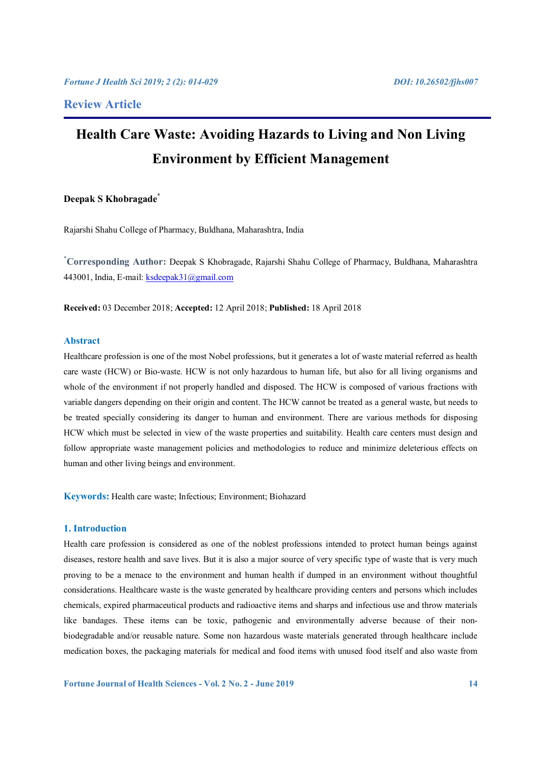# **Health Care Waste: Avoiding Hazards to Living and Non Living Environment by Efficient Management**

# **Deepak S Khobragade\***

Rajarshi Shahu College of Pharmacy, Buldhana, Maharashtra, India

**\* Corresponding Author:** Deepak S Khobragade, Rajarshi Shahu College of Pharmacy, Buldhana, Maharashtra 443001, India, E-mail: ksdeepak31@gmail.com

**Received:** 03 December 2018; **Accepted:** 12 April 2018; **Published:** 18 April 2018

# **Abstract**

Healthcare profession is one of the most Nobel professions, but it generates a lot of waste material referred as health care waste (HCW) or Bio-waste. HCW is not only hazardous to human life, but also for all living organisms and whole of the environment if not properly handled and disposed. The HCW is composed of various fractions with variable dangers depending on their origin and content. The HCW cannot be treated as a general waste, but needs to be treated specially considering its danger to human and environment. There are various methods for disposing HCW which must be selected in view of the waste properties and suitability. Health care centers must design and follow appropriate waste management policies and methodologies to reduce and minimize deleterious effects on human and other living beings and environment.

**Keywords:** Health care waste; Infectious; Environment; Biohazard

# **1. Introduction**

Health care profession is considered as one of the noblest professions intended to protect human beings against diseases, restore health and save lives. But it is also a major source of very specific type of waste that is very much proving to be a menace to the environment and human health if dumped in an environment without thoughtful considerations. Healthcare waste is the waste generated by healthcare providing centers and persons which includes chemicals, expired pharmaceutical products and radioactive items and sharps and infectious use and throw materials like bandages. These items can be toxic, pathogenic and environmentally adverse because of their nonbiodegradable and/or reusable nature. Some non hazardous waste materials generated through healthcare include medication boxes, the packaging materials for medical and food items with unused food itself and also waste from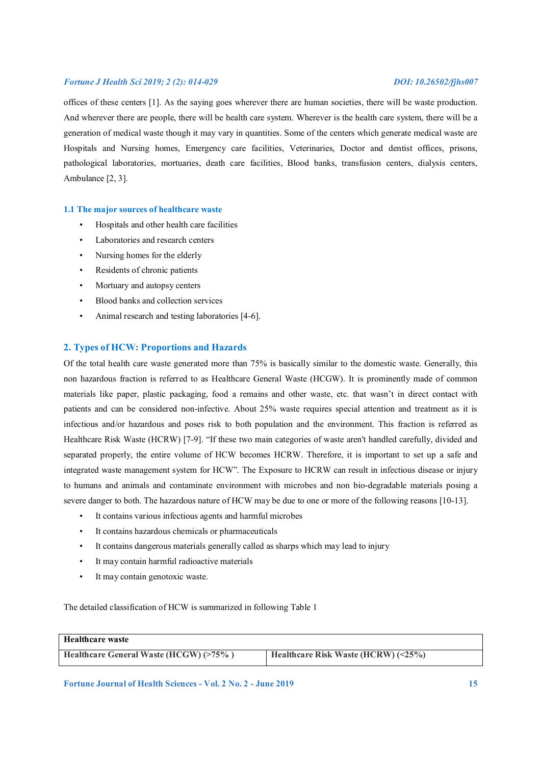offices of these centers [1]. As the saying goes wherever there are human societies, there will be waste production. And wherever there are people, there will be health care system. Wherever is the health care system, there will be a generation of medical waste though it may vary in quantities. Some of the centers which generate medical waste are Hospitals and Nursing homes, Emergency care facilities, Veterinaries, Doctor and dentist offices, prisons, pathological laboratories, mortuaries, death care facilities, Blood banks, transfusion centers, dialysis centers, Ambulance [2, 3].

### **1.1 The major sources of healthcare waste**

- Hospitals and other health care facilities
- Laboratories and research centers
- Nursing homes for the elderly
- Residents of chronic patients
- Mortuary and autopsy centers
- Blood banks and collection services
- Animal research and testing laboratories [4-6].

## **2. Types of HCW: Proportions and Hazards**

Of the total health care waste generated more than 75% is basically similar to the domestic waste. Generally, this non hazardous fraction is referred to as Healthcare General Waste (HCGW). It is prominently made of common materials like paper, plastic packaging, food a remains and other waste, etc. that wasn't in direct contact with patients and can be considered non-infective. About 25% waste requires special attention and treatment as it is infectious and/or hazardous and poses risk to both population and the environment. This fraction is referred as Healthcare Risk Waste (HCRW) [7-9]. "If these two main categories of waste aren't handled carefully, divided and separated properly, the entire volume of HCW becomes HCRW. Therefore, it is important to set up a safe and integrated waste management system for HCW". The Exposure to HCRW can result in infectious disease or injury to humans and animals and contaminate environment with microbes and non bio-degradable materials posing a severe danger to both. The hazardous nature of HCW may be due to one or more of the following reasons [10-13].

- It contains various infectious agents and harmful microbes
- It contains hazardous chemicals or pharmaceuticals
- It contains dangerous materials generally called as sharps which may lead to injury
- It may contain harmful radioactive materials
- It may contain genotoxic waste.

The detailed classification of HCW is summarized in following Table 1

| <b>Healthcare waste</b>                |                                            |
|----------------------------------------|--------------------------------------------|
| Healthcare General Waste (HCGW) (>75%) | Healthcare Risk Waste (HCRW) $(\leq 25\%)$ |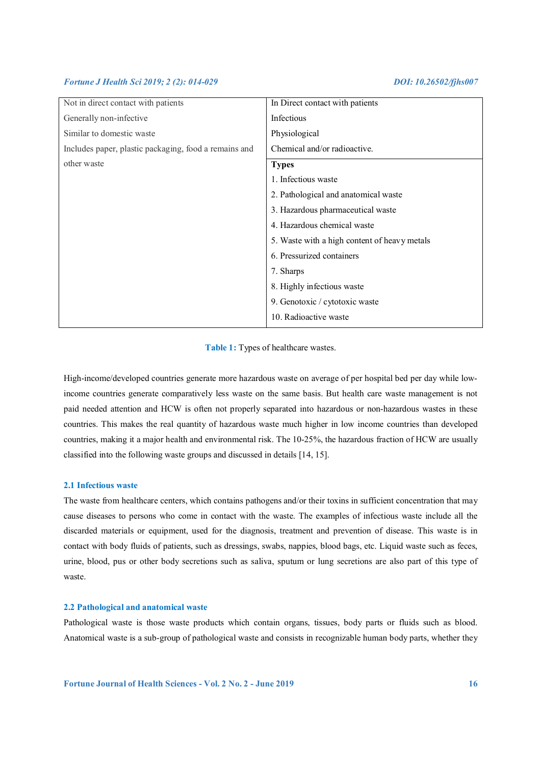| Not in direct contact with patients                   | In Direct contact with patients      |  |
|-------------------------------------------------------|--------------------------------------|--|
| Generally non-infective                               | Infectious                           |  |
| Similar to domestic waste                             | Physiological                        |  |
| Includes paper, plastic packaging, food a remains and | Chemical and/or radioactive.         |  |
| other waste                                           | <b>Types</b>                         |  |
|                                                       | 1. Infectious waste                  |  |
|                                                       | 2. Pathological and anatomical waste |  |
|                                                       | 3. Hazardous pharmaceutical waste    |  |
|                                                       | 4. Hazardous chemical waste          |  |
| 5. Waste with a high content of heavy metals          |                                      |  |
|                                                       | 6. Pressurized containers            |  |
|                                                       | 7. Sharps                            |  |
|                                                       | 8. Highly infectious waste           |  |
|                                                       | 9. Genotoxic / cytotoxic waste       |  |
|                                                       | 10. Radioactive waste                |  |

**Table 1:** Types of healthcare wastes.

High-income/developed countries generate more hazardous waste on average of per hospital bed per day while lowincome countries generate comparatively less waste on the same basis. But health care waste management is not paid needed attention and HCW is often not properly separated into hazardous or non-hazardous wastes in these countries. This makes the real quantity of hazardous waste much higher in low income countries than developed countries, making it a major health and environmental risk. The 10-25%, the hazardous fraction of HCW are usually classified into the following waste groups and discussed in details [14, 15].

# **2.1 Infectious waste**

The waste from healthcare centers, which contains pathogens and/or their toxins in sufficient concentration that may cause diseases to persons who come in contact with the waste. The examples of infectious waste include all the discarded materials or equipment, used for the diagnosis, treatment and prevention of disease. This waste is in contact with body fluids of patients, such as dressings, swabs, nappies, blood bags, etc. Liquid waste such as feces, urine, blood, pus or other body secretions such as saliva, sputum or lung secretions are also part of this type of waste.

# **2.2 Pathological and anatomical waste**

Pathological waste is those waste products which contain organs, tissues, body parts or fluids such as blood. Anatomical waste is a sub-group of pathological waste and consists in recognizable human body parts, whether they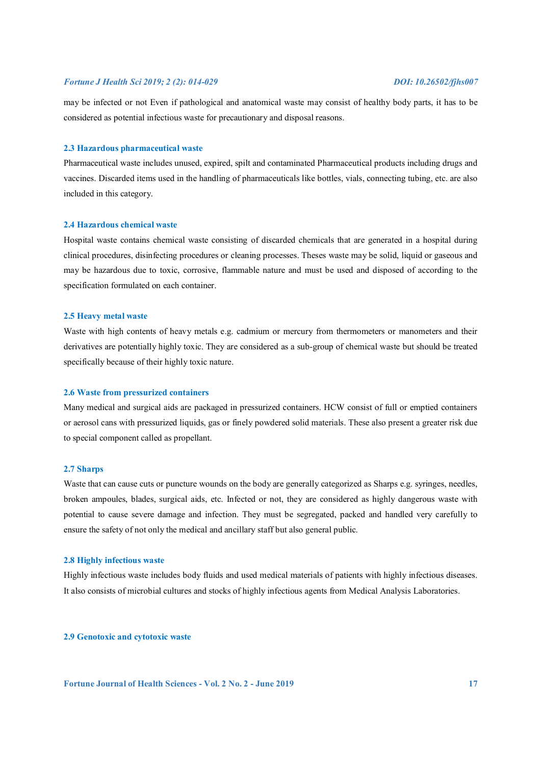may be infected or not Even if pathological and anatomical waste may consist of healthy body parts, it has to be considered as potential infectious waste for precautionary and disposal reasons.

# **2.3 Hazardous pharmaceutical waste**

Pharmaceutical waste includes unused, expired, spilt and contaminated Pharmaceutical products including drugs and vaccines. Discarded items used in the handling of pharmaceuticals like bottles, vials, connecting tubing, etc. are also included in this category.

# **2.4 Hazardous chemical waste**

Hospital waste contains chemical waste consisting of discarded chemicals that are generated in a hospital during clinical procedures, disinfecting procedures or cleaning processes. Theses waste may be solid, liquid or gaseous and may be hazardous due to toxic, corrosive, flammable nature and must be used and disposed of according to the specification formulated on each container.

### **2.5 Heavy metal waste**

Waste with high contents of heavy metals e.g. cadmium or mercury from thermometers or manometers and their derivatives are potentially highly toxic. They are considered as a sub-group of chemical waste but should be treated specifically because of their highly toxic nature.

# **2.6 Waste from pressurized containers**

Many medical and surgical aids are packaged in pressurized containers. HCW consist of full or emptied containers or aerosol cans with pressurized liquids, gas or finely powdered solid materials. These also present a greater risk due to special component called as propellant.

### **2.7 Sharps**

Waste that can cause cuts or puncture wounds on the body are generally categorized as Sharps e.g. syringes, needles, broken ampoules, blades, surgical aids, etc. Infected or not, they are considered as highly dangerous waste with potential to cause severe damage and infection. They must be segregated, packed and handled very carefully to ensure the safety of not only the medical and ancillary staff but also general public.

### **2.8 Highly infectious waste**

Highly infectious waste includes body fluids and used medical materials of patients with highly infectious diseases. It also consists of microbial cultures and stocks of highly infectious agents from Medical Analysis Laboratories.

# **2.9 Genotoxic and cytotoxic waste**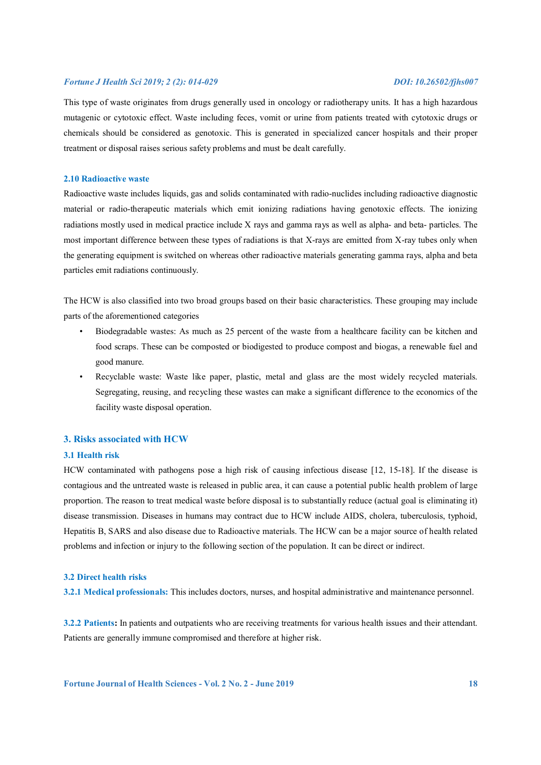This type of waste originates from drugs generally used in oncology or radiotherapy units. It has a high hazardous mutagenic or cytotoxic effect. Waste including feces, vomit or urine from patients treated with cytotoxic drugs or chemicals should be considered as genotoxic. This is generated in specialized cancer hospitals and their proper treatment or disposal raises serious safety problems and must be dealt carefully.

# **2.10 Radioactive waste**

Radioactive waste includes liquids, gas and solids contaminated with radio-nuclides including radioactive diagnostic material or radio-therapeutic materials which emit ionizing radiations having genotoxic effects. The ionizing radiations mostly used in medical practice include X rays and gamma rays as well as alpha- and beta- particles. The most important difference between these types of radiations is that X-rays are emitted from X-ray tubes only when the generating equipment is switched on whereas other radioactive materials generating gamma rays, alpha and beta particles emit radiations continuously.

The HCW is also classified into two broad groups based on their basic characteristics. These grouping may include parts of the aforementioned categories

- Biodegradable wastes: As much as 25 percent of the waste from a healthcare facility can be kitchen and food scraps. These can be composted or biodigested to produce compost and biogas, a renewable fuel and good manure.
- Recyclable waste: Waste like paper, plastic, metal and glass are the most widely recycled materials. Segregating, reusing, and recycling these wastes can make a significant difference to the economics of the facility waste disposal operation.

# **3. Risks associated with HCW**

# **3.1 Health risk**

HCW contaminated with pathogens pose a high risk of causing infectious disease [12, 15-18]. If the disease is contagious and the untreated waste is released in public area, it can cause a potential public health problem of large proportion. The reason to treat medical waste before disposal is to substantially reduce (actual goal is eliminating it) disease transmission. Diseases in humans may contract due to HCW include AIDS, cholera, tuberculosis, typhoid, Hepatitis B, SARS and also disease due to Radioactive materials. The HCW can be a major source of health related problems and infection or injury to the following section of the population. It can be direct or indirect.

# **3.2 Direct health risks**

**3.2.1 Medical professionals:** This includes doctors, nurses, and hospital administrative and maintenance personnel.

**3.2.2 Patients:** In patients and outpatients who are receiving treatments for various health issues and their attendant. Patients are generally immune compromised and therefore at higher risk.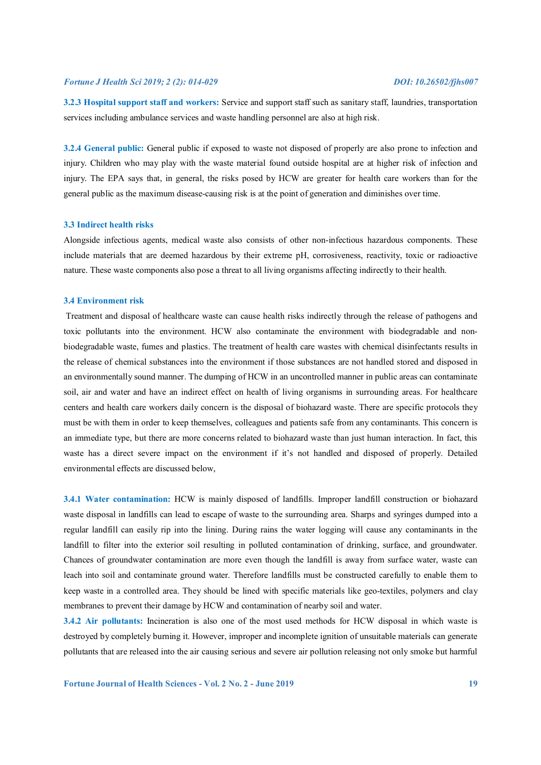**3.2.3 Hospital support staff and workers:** Service and support staff such as sanitary staff, laundries, transportation services including ambulance services and waste handling personnel are also at high risk.

**3.2.4 General public:** General public if exposed to waste not disposed of properly are also prone to infection and injury. Children who may play with the waste material found outside hospital are at higher risk of infection and injury. The EPA says that, in general, the risks posed by HCW are greater for health care workers than for the general public as the maximum disease-causing risk is at the point of generation and diminishes over time.

# **3.3 Indirect health risks**

Alongside infectious agents, medical waste also consists of other non-infectious hazardous components. These include materials that are deemed hazardous by their extreme pH, corrosiveness, reactivity, toxic or radioactive nature. These waste components also pose a threat to all living organisms affecting indirectly to their health.

#### **3.4 Environment risk**

 Treatment and disposal of healthcare waste can cause health risks indirectly through the release of pathogens and toxic pollutants into the environment. HCW also contaminate the environment with biodegradable and nonbiodegradable waste, fumes and plastics. The treatment of health care wastes with chemical disinfectants results in the release of chemical substances into the environment if those substances are not handled stored and disposed in an environmentally sound manner. The dumping of HCW in an uncontrolled manner in public areas can contaminate soil, air and water and have an indirect effect on health of living organisms in surrounding areas. For healthcare centers and health care workers daily concern is the disposal of biohazard waste. There are specific protocols they must be with them in order to keep themselves, colleagues and patients safe from any contaminants. This concern is an immediate type, but there are more concerns related to biohazard waste than just human interaction. In fact, this waste has a direct severe impact on the environment if it's not handled and disposed of properly. Detailed environmental effects are discussed below,

**3.4.1 Water contamination:** HCW is mainly disposed of landfills. Improper landfill construction or biohazard waste disposal in landfills can lead to escape of waste to the surrounding area. Sharps and syringes dumped into a regular landfill can easily rip into the lining. During rains the water logging will cause any contaminants in the landfill to filter into the exterior soil resulting in polluted contamination of drinking, surface, and groundwater. Chances of groundwater contamination are more even though the landfill is away from surface water, waste can leach into soil and contaminate ground water. Therefore landfills must be constructed carefully to enable them to keep waste in a controlled area. They should be lined with specific materials like geo-textiles, polymers and clay membranes to prevent their damage by HCW and contamination of nearby soil and water.

**3.4.2 Air pollutants:** Incineration is also one of the most used methods for HCW disposal in which waste is destroyed by completely burning it. However, improper and incomplete ignition of unsuitable materials can generate pollutants that are released into the air causing serious and severe air pollution releasing not only smoke but harmful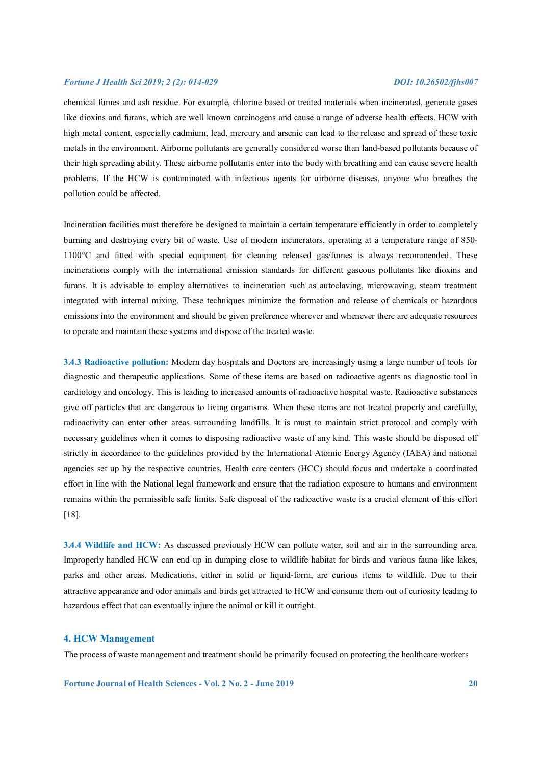chemical fumes and ash residue. For example, chlorine based or treated materials when incinerated, generate gases like dioxins and furans, which are well known carcinogens and cause a range of adverse health effects. HCW with high metal content, especially cadmium, lead, mercury and arsenic can lead to the release and spread of these toxic metals in the environment. Airborne pollutants are generally considered worse than land-based pollutants because of their high spreading ability. These airborne pollutants enter into the body with breathing and can cause severe health problems. If the HCW is contaminated with infectious agents for airborne diseases, anyone who breathes the pollution could be affected.

Incineration facilities must therefore be designed to maintain a certain temperature efficiently in order to completely burning and destroying every bit of waste. Use of modern incinerators, operating at a temperature range of 850- 1100°C and fitted with special equipment for cleaning released gas/fumes is always recommended. These incinerations comply with the international emission standards for different gaseous pollutants like dioxins and furans. It is advisable to employ alternatives to incineration such as autoclaving, microwaving, steam treatment integrated with internal mixing. These techniques minimize the formation and release of chemicals or hazardous emissions into the environment and should be given preference wherever and whenever there are adequate resources to operate and maintain these systems and dispose of the treated waste.

**3.4.3 Radioactive pollution:** Modern day hospitals and Doctors are increasingly using a large number of tools for diagnostic and therapeutic applications. Some of these items are based on radioactive agents as diagnostic tool in cardiology and oncology. This is leading to increased amounts of radioactive hospital waste. Radioactive substances give off particles that are dangerous to living organisms. When these items are not treated properly and carefully, radioactivity can enter other areas surrounding landfills. It is must to maintain strict protocol and comply with necessary guidelines when it comes to disposing radioactive waste of any kind. This waste should be disposed off strictly in accordance to the guidelines provided by the International Atomic Energy Agency (IAEA) and national agencies set up by the respective countries. Health care centers (HCC) should focus and undertake a coordinated effort in line with the National legal framework and ensure that the radiation exposure to humans and environment remains within the permissible safe limits. Safe disposal of the radioactive waste is a crucial element of this effort [18].

**3.4.4 Wildlife and HCW:** As discussed previously HCW can pollute water, soil and air in the surrounding area. Improperly handled HCW can end up in dumping close to wildlife habitat for birds and various fauna like lakes, parks and other areas. Medications, either in solid or liquid-form, are curious items to wildlife. Due to their attractive appearance and odor animals and birds get attracted to HCW and consume them out of curiosity leading to hazardous effect that can eventually injure the animal or kill it outright.

# **4. HCW Management**

The process of waste management and treatment should be primarily focused on protecting the healthcare workers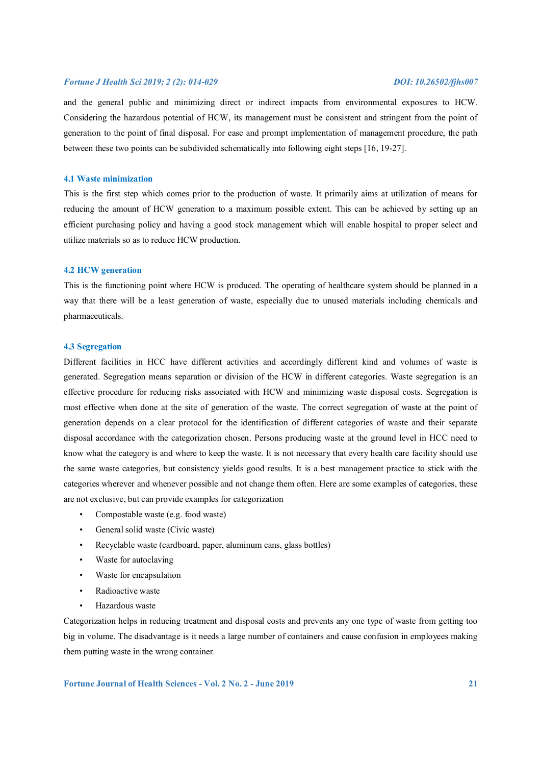and the general public and minimizing direct or indirect impacts from environmental exposures to HCW. Considering the hazardous potential of HCW, its management must be consistent and stringent from the point of generation to the point of final disposal. For ease and prompt implementation of management procedure, the path between these two points can be subdivided schematically into following eight steps [16, 19-27].

# **4.1 Waste minimization**

This is the first step which comes prior to the production of waste. It primarily aims at utilization of means for reducing the amount of HCW generation to a maximum possible extent. This can be achieved by setting up an efficient purchasing policy and having a good stock management which will enable hospital to proper select and utilize materials so as to reduce HCW production.

### **4.2 HCW generation**

This is the functioning point where HCW is produced. The operating of healthcare system should be planned in a way that there will be a least generation of waste, especially due to unused materials including chemicals and pharmaceuticals.

### **4.3 Segregation**

Different facilities in HCC have different activities and accordingly different kind and volumes of waste is generated. Segregation means separation or division of the HCW in different categories. Waste segregation is an effective procedure for reducing risks associated with HCW and minimizing waste disposal costs. Segregation is most effective when done at the site of generation of the waste. The correct segregation of waste at the point of generation depends on a clear protocol for the identification of different categories of waste and their separate disposal accordance with the categorization chosen. Persons producing waste at the ground level in HCC need to know what the category is and where to keep the waste. It is not necessary that every health care facility should use the same waste categories, but consistency yields good results. It is a best management practice to stick with the categories wherever and whenever possible and not change them often. Here are some examples of categories, these are not exclusive, but can provide examples for categorization

- Compostable waste (e.g. food waste)
- General solid waste (Civic waste)
- Recyclable waste (cardboard, paper, aluminum cans, glass bottles)
- Waste for autoclaving
- Waste for encapsulation
- Radioactive waste
- Hazardous waste

Categorization helps in reducing treatment and disposal costs and prevents any one type of waste from getting too big in volume. The disadvantage is it needs a large number of containers and cause confusion in employees making them putting waste in the wrong container.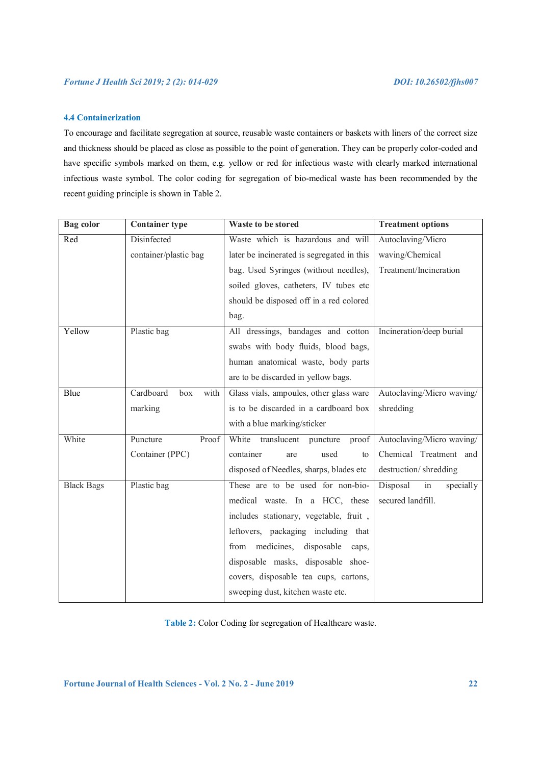# **4.4 Containerization**

To encourage and facilitate segregation at source, reusable waste containers or baskets with liners of the correct size and thickness should be placed as close as possible to the point of generation. They can be properly color-coded and have specific symbols marked on them, e.g. yellow or red for infectious waste with clearly marked international infectious waste symbol. The color coding for segregation of bio-medical waste has been recommended by the recent guiding principle is shown in Table 2.

| <b>Bag</b> color  | <b>Container type</b>    | Waste to be stored                         | <b>Treatment options</b>                |
|-------------------|--------------------------|--------------------------------------------|-----------------------------------------|
| Red               | Disinfected              | Waste which is hazardous and will          | Autoclaving/Micro                       |
|                   | container/plastic bag    | later be incinerated is segregated in this | waving/Chemical                         |
|                   |                          | bag. Used Syringes (without needles),      | Treatment/Incineration                  |
|                   |                          | soiled gloves, catheters, IV tubes etc     |                                         |
|                   |                          | should be disposed off in a red colored    |                                         |
|                   |                          | bag.                                       |                                         |
| Yellow            | Plastic bag              | All dressings, bandages and cotton         | Incineration/deep burial                |
|                   |                          | swabs with body fluids, blood bags,        |                                         |
|                   |                          | human anatomical waste, body parts         |                                         |
|                   |                          | are to be discarded in yellow bags.        |                                         |
| Blue              | Cardboard<br>box<br>with | Glass vials, ampoules, other glass ware    | Autoclaving/Micro waving/               |
|                   | marking                  | is to be discarded in a cardboard box      | shredding                               |
|                   |                          | with a blue marking/sticker                |                                         |
| White             | Puncture<br>Proof        | White translucent puncture<br>proof        | Autoclaving/Micro waving/               |
|                   | Container (PPC)          | container<br>used<br>are<br>to             | Chemical Treatment and                  |
|                   |                          | disposed of Needles, sharps, blades etc    | destruction/shredding                   |
| <b>Black Bags</b> | Plastic bag              | These are to be used for non-bio-          | Disposal<br>$\overline{m}$<br>specially |
|                   |                          | medical waste. In a HCC, these             | secured landfill.                       |
|                   |                          | includes stationary, vegetable, fruit,     |                                         |
|                   |                          | leftovers, packaging including that        |                                         |
|                   |                          | medicines, disposable<br>from<br>caps,     |                                         |
|                   |                          | disposable masks, disposable shoe-         |                                         |
|                   |                          | covers, disposable tea cups, cartons,      |                                         |
|                   |                          | sweeping dust, kitchen waste etc.          |                                         |

**Table 2:** Color Coding for segregation of Healthcare waste.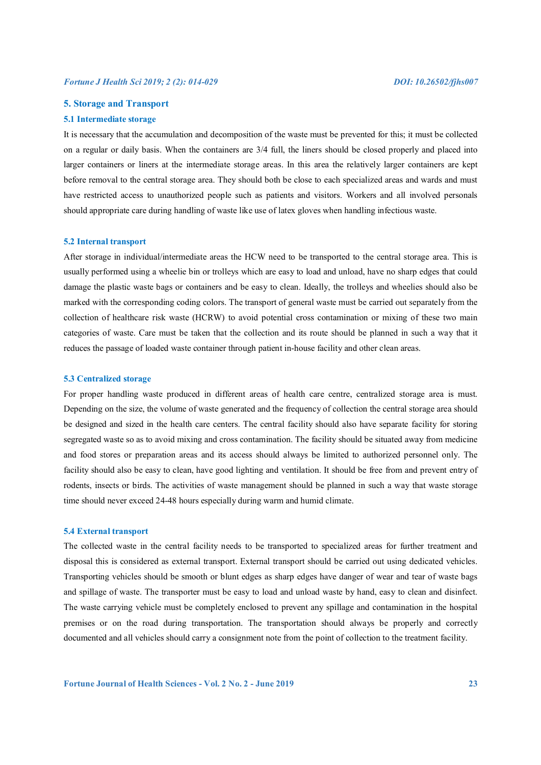# **5. Storage and Transport**

#### **5.1 Intermediate storage**

It is necessary that the accumulation and decomposition of the waste must be prevented for this; it must be collected on a regular or daily basis. When the containers are 3/4 full, the liners should be closed properly and placed into larger containers or liners at the intermediate storage areas. In this area the relatively larger containers are kept before removal to the central storage area. They should both be close to each specialized areas and wards and must have restricted access to unauthorized people such as patients and visitors. Workers and all involved personals should appropriate care during handling of waste like use of latex gloves when handling infectious waste.

#### **5.2 Internal transport**

After storage in individual/intermediate areas the HCW need to be transported to the central storage area. This is usually performed using a wheelie bin or trolleys which are easy to load and unload, have no sharp edges that could damage the plastic waste bags or containers and be easy to clean. Ideally, the trolleys and wheelies should also be marked with the corresponding coding colors. The transport of general waste must be carried out separately from the collection of healthcare risk waste (HCRW) to avoid potential cross contamination or mixing of these two main categories of waste. Care must be taken that the collection and its route should be planned in such a way that it reduces the passage of loaded waste container through patient in-house facility and other clean areas.

#### **5.3 Centralized storage**

For proper handling waste produced in different areas of health care centre, centralized storage area is must. Depending on the size, the volume of waste generated and the frequency of collection the central storage area should be designed and sized in the health care centers. The central facility should also have separate facility for storing segregated waste so as to avoid mixing and cross contamination. The facility should be situated away from medicine and food stores or preparation areas and its access should always be limited to authorized personnel only. The facility should also be easy to clean, have good lighting and ventilation. It should be free from and prevent entry of rodents, insects or birds. The activities of waste management should be planned in such a way that waste storage time should never exceed 24-48 hours especially during warm and humid climate.

### **5.4 External transport**

The collected waste in the central facility needs to be transported to specialized areas for further treatment and disposal this is considered as external transport. External transport should be carried out using dedicated vehicles. Transporting vehicles should be smooth or blunt edges as sharp edges have danger of wear and tear of waste bags and spillage of waste. The transporter must be easy to load and unload waste by hand, easy to clean and disinfect. The waste carrying vehicle must be completely enclosed to prevent any spillage and contamination in the hospital premises or on the road during transportation. The transportation should always be properly and correctly documented and all vehicles should carry a consignment note from the point of collection to the treatment facility.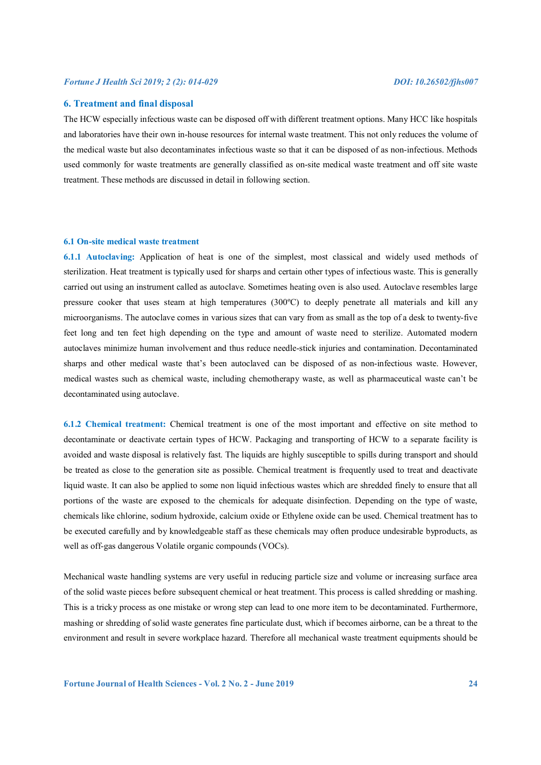# **6. Treatment and final disposal**

The HCW especially infectious waste can be disposed off with different treatment options. Many HCC like hospitals and laboratories have their own in-house resources for internal waste treatment. This not only reduces the volume of the medical waste but also decontaminates infectious waste so that it can be disposed of as non-infectious. Methods used commonly for waste treatments are generally classified as on-site medical waste treatment and off site waste treatment. These methods are discussed in detail in following section.

#### **6.1 On-site medical waste treatment**

**6.1.1 Autoclaving:** Application of heat is one of the simplest, most classical and widely used methods of sterilization. Heat treatment is typically used for sharps and certain other types of infectious waste. This is generally carried out using an instrument called as autoclave. Sometimes heating oven is also used. Autoclave resembles large pressure cooker that uses steam at high temperatures (300ºC) to deeply penetrate all materials and kill any microorganisms. The autoclave comes in various sizes that can vary from as small as the top of a desk to twenty-five feet long and ten feet high depending on the type and amount of waste need to sterilize. Automated modern autoclaves minimize human involvement and thus reduce needle-stick injuries and contamination. Decontaminated sharps and other medical waste that's been autoclaved can be disposed of as non-infectious waste. However, medical wastes such as chemical waste, including chemotherapy waste, as well as pharmaceutical waste can't be decontaminated using autoclave.

**6.1.2 Chemical treatment:** Chemical treatment is one of the most important and effective on site method to decontaminate or deactivate certain types of HCW. Packaging and transporting of HCW to a separate facility is avoided and waste disposal is relatively fast. The liquids are highly susceptible to spills during transport and should be treated as close to the generation site as possible. Chemical treatment is frequently used to treat and deactivate liquid waste. It can also be applied to some non liquid infectious wastes which are shredded finely to ensure that all portions of the waste are exposed to the chemicals for adequate disinfection. Depending on the type of waste, chemicals like chlorine, sodium hydroxide, calcium oxide or Ethylene oxide can be used. Chemical treatment has to be executed carefully and by knowledgeable staff as these chemicals may often produce undesirable byproducts, as well as off-gas dangerous Volatile organic compounds (VOCs).

Mechanical waste handling systems are very useful in reducing particle size and volume or increasing surface area of the solid waste pieces before subsequent chemical or heat treatment. This process is called shredding or mashing. This is a tricky process as one mistake or wrong step can lead to one more item to be decontaminated. Furthermore, mashing or shredding of solid waste generates fine particulate dust, which if becomes airborne, can be a threat to the environment and result in severe workplace hazard. Therefore all mechanical waste treatment equipments should be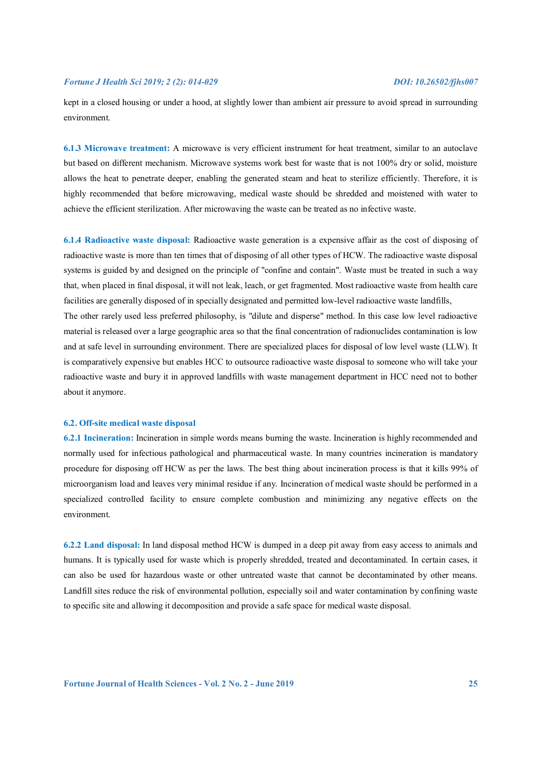kept in a closed housing or under a hood, at slightly lower than ambient air pressure to avoid spread in surrounding environment.

**6.1.3 Microwave treatment:** A microwave is very efficient instrument for heat treatment, similar to an autoclave but based on different mechanism. Microwave systems work best for waste that is not 100% dry or solid, moisture allows the heat to penetrate deeper, enabling the generated steam and heat to sterilize efficiently. Therefore, it is highly recommended that before microwaving, medical waste should be shredded and moistened with water to achieve the efficient sterilization. After microwaving the waste can be treated as no infective waste.

**6.1.4 Radioactive waste disposal:** Radioactive waste generation is a expensive affair as the cost of disposing of radioactive waste is more than ten times that of disposing of all other types of HCW. The radioactive waste disposal systems is guided by and designed on the principle of "confine and contain". Waste must be treated in such a way that, when placed in final disposal, it will not leak, leach, or get fragmented. Most radioactive waste from health care facilities are generally disposed of in specially designated and permitted low-level radioactive waste landfills, The other rarely used less preferred philosophy, is "dilute and disperse" method. In this case low level radioactive material is released over a large geographic area so that the final concentration of radionuclides contamination is low and at safe level in surrounding environment. There are specialized places for disposal of low level waste (LLW). It is comparatively expensive but enables HCC to outsource radioactive waste disposal to someone who will take your radioactive waste and bury it in approved landfills with waste management department in HCC need not to bother about it anymore.

#### **6.2. Off-site medical waste disposal**

**6.2.1 Incineration:** Incineration in simple words means burning the waste. Incineration is highly recommended and normally used for infectious pathological and pharmaceutical waste. In many countries incineration is mandatory procedure for disposing off HCW as per the laws. The best thing about incineration process is that it kills 99% of microorganism load and leaves very minimal residue if any. Incineration of medical waste should be performed in a specialized controlled facility to ensure complete combustion and minimizing any negative effects on the environment.

**6.2.2 Land disposal:** In land disposal method HCW is dumped in a deep pit away from easy access to animals and humans. It is typically used for waste which is properly shredded, treated and decontaminated. In certain cases, it can also be used for hazardous waste or other untreated waste that cannot be decontaminated by other means. Landfill sites reduce the risk of environmental pollution, especially soil and water contamination by confining waste to specific site and allowing it decomposition and provide a safe space for medical waste disposal.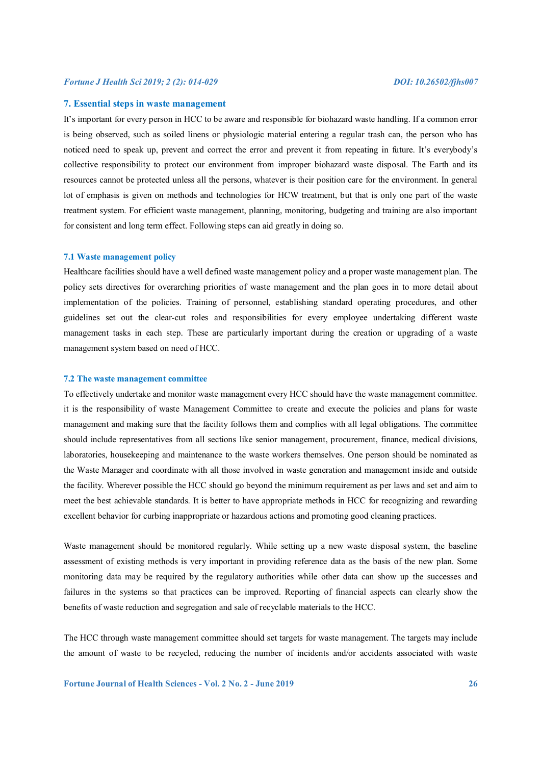# **7. Essential steps in waste management**

It's important for every person in HCC to be aware and responsible for biohazard waste handling. If a common error is being observed, such as soiled linens or physiologic material entering a regular trash can, the person who has noticed need to speak up, prevent and correct the error and prevent it from repeating in future. It's everybody's collective responsibility to protect our environment from improper biohazard waste disposal. The Earth and its resources cannot be protected unless all the persons, whatever is their position care for the environment. In general lot of emphasis is given on methods and technologies for HCW treatment, but that is only one part of the waste treatment system. For efficient waste management, planning, monitoring, budgeting and training are also important for consistent and long term effect. Following steps can aid greatly in doing so.

#### **7.1 Waste management policy**

Healthcare facilities should have a well defined waste management policy and a proper waste management plan. The policy sets directives for overarching priorities of waste management and the plan goes in to more detail about implementation of the policies. Training of personnel, establishing standard operating procedures, and other guidelines set out the clear-cut roles and responsibilities for every employee undertaking different waste management tasks in each step. These are particularly important during the creation or upgrading of a waste management system based on need of HCC.

### **7.2 The waste management committee**

To effectively undertake and monitor waste management every HCC should have the waste management committee. it is the responsibility of waste Management Committee to create and execute the policies and plans for waste management and making sure that the facility follows them and complies with all legal obligations. The committee should include representatives from all sections like senior management, procurement, finance, medical divisions, laboratories, housekeeping and maintenance to the waste workers themselves. One person should be nominated as the Waste Manager and coordinate with all those involved in waste generation and management inside and outside the facility. Wherever possible the HCC should go beyond the minimum requirement as per laws and set and aim to meet the best achievable standards. It is better to have appropriate methods in HCC for recognizing and rewarding excellent behavior for curbing inappropriate or hazardous actions and promoting good cleaning practices.

Waste management should be monitored regularly. While setting up a new waste disposal system, the baseline assessment of existing methods is very important in providing reference data as the basis of the new plan. Some monitoring data may be required by the regulatory authorities while other data can show up the successes and failures in the systems so that practices can be improved. Reporting of financial aspects can clearly show the benefits of waste reduction and segregation and sale of recyclable materials to the HCC.

The HCC through waste management committee should set targets for waste management. The targets may include the amount of waste to be recycled, reducing the number of incidents and/or accidents associated with waste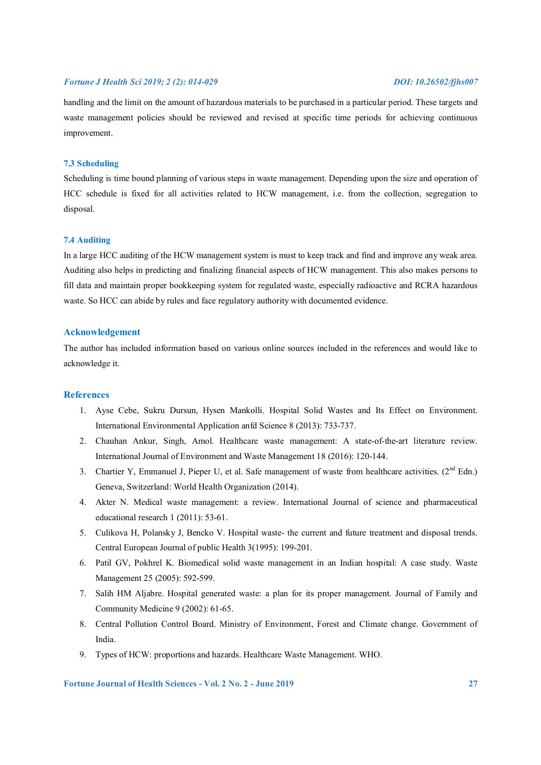handling and the limit on the amount of hazardous materials to be purchased in a particular period. These targets and waste management policies should be reviewed and revised at specific time periods for achieving continuous improvement.

# **7.3 Scheduling**

Scheduling is time bound planning of various steps in waste management. Depending upon the size and operation of HCC schedule is fixed for all activities related to HCW management, i.e. from the collection, segregation to disposal.

## **7.4 Auditing**

In a large HCC auditing of the HCW management system is must to keep track and find and improve any weak area. Auditing also helps in predicting and finalizing financial aspects of HCW management. This also makes persons to fill data and maintain proper bookkeeping system for regulated waste, especially radioactive and RCRA hazardous waste. So HCC can abide by rules and face regulatory authority with documented evidence.

# **Acknowledgement**

The author has included information based on various online sources included in the references and would like to acknowledge it.

# **References**

- 1. Ayse Cebe, Sukru Dursun, Hysen Mankolli. Hospital Solid Wastes and Its Effect on Environment. International Environmental Application anfd Science 8 (2013): 733-737.
- 2. Chauhan Ankur, Singh, Amol. Healthcare waste management: A state-of-the-art literature review. International Journal of Environment and Waste Management 18 (2016): 120-144.
- 3. Chartier Y, Emmanuel J, Pieper U, et al. Safe management of waste from healthcare activities. (2<sup>nd</sup> Edn.) Geneva, Switzerland: World Health Organization (2014).
- 4. Akter N. Medical waste management: a review. International Journal of science and pharmaceutical educational research 1 (2011): 53-61.
- 5. Culikova H, Polansky J, Bencko V. Hospital waste- the current and future treatment and disposal trends. Central European Journal of public Health 3(1995): 199-201.
- 6. Patil GV, Pokhrel K. Biomedical solid waste management in an Indian hospital: A case study. Waste Management 25 (2005): 592-599.
- 7. Salih HM Aljabre. Hospital generated waste: a plan for its proper management. Journal of Family and Community Medicine 9 (2002): 61-65.
- 8. Central Pollution Control Board. Ministry of Environment, Forest and Climate change. Government of India.
- 9. Types of HCW: proportions and hazards. Healthcare Waste Management. WHO.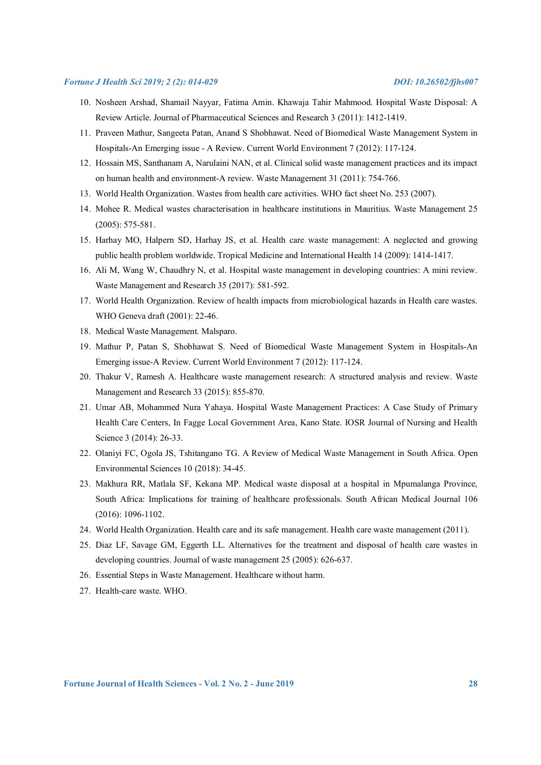- 10. Nosheen Arshad, Shamail Nayyar, Fatima Amin. Khawaja Tahir Mahmood. Hospital Waste Disposal: A Review Article. Journal of Pharmaceutical Sciences and Research 3 (2011): 1412-1419.
- 11. Praveen Mathur, Sangeeta Patan, Anand S Shobhawat. Need of Biomedical Waste Management System in Hospitals-An Emerging issue - A Review. Current World Environment 7 (2012): 117-124.
- 12. Hossain MS, Santhanam A, Narulaini NAN, et al. Clinical solid waste management practices and its impact on human health and environment-A review. Waste Management 31 (2011): 754-766.
- 13. World Health Organization. Wastes from health care activities. WHO fact sheet No. 253 (2007).
- 14. Mohee R. Medical wastes characterisation in healthcare institutions in Mauritius. Waste Management 25 (2005): 575-581.
- 15. Harhay MO, Halpern SD, Harhay JS, et al. Health care waste management: A neglected and growing public health problem worldwide. Tropical Medicine and International Health 14 (2009): 1414-1417.
- 16. Ali M, Wang W, Chaudhry N, et al. Hospital waste management in developing countries: A mini review. Waste Management and Research 35 (2017): 581-592.
- 17. World Health Organization. Review of health impacts from microbiological hazards in Health care wastes. WHO Geneva draft (2001): 22-46.
- 18. Medical Waste Management. Malsparo.
- 19. Mathur P, Patan S, Shobhawat S. Need of Biomedical Waste Management System in Hospitals-An Emerging issue-A Review. Current World Environment 7 (2012): 117-124.
- 20. Thakur V, Ramesh A. Healthcare waste management research: A structured analysis and review. Waste Management and Research 33 (2015): 855-870.
- 21. Umar AB, Mohammed Nura Yahaya. Hospital Waste Management Practices: A Case Study of Primary Health Care Centers, In Fagge Local Government Area, Kano State. IOSR Journal of Nursing and Health Science 3 (2014): 26-33.
- 22. Olaniyi FC, Ogola JS, Tshitangano TG. A Review of Medical Waste Management in South Africa. Open Environmental Sciences 10 (2018): 34-45.
- 23. Makhura RR, Matlala SF, Kekana MP. Medical waste disposal at a hospital in Mpumalanga Province, South Africa: Implications for training of healthcare professionals. South African Medical Journal 106 (2016): 1096-1102.
- 24. World Health Organization. Health care and its safe management. Health care waste management (2011).
- 25. Diaz LF, Savage GM, Eggerth LL. Alternatives for the treatment and disposal of health care wastes in developing countries. Journal of waste management 25 (2005): 626-637.
- 26. Essential Steps in Waste Management. Healthcare without harm.
- 27. Health-care waste. WHO.